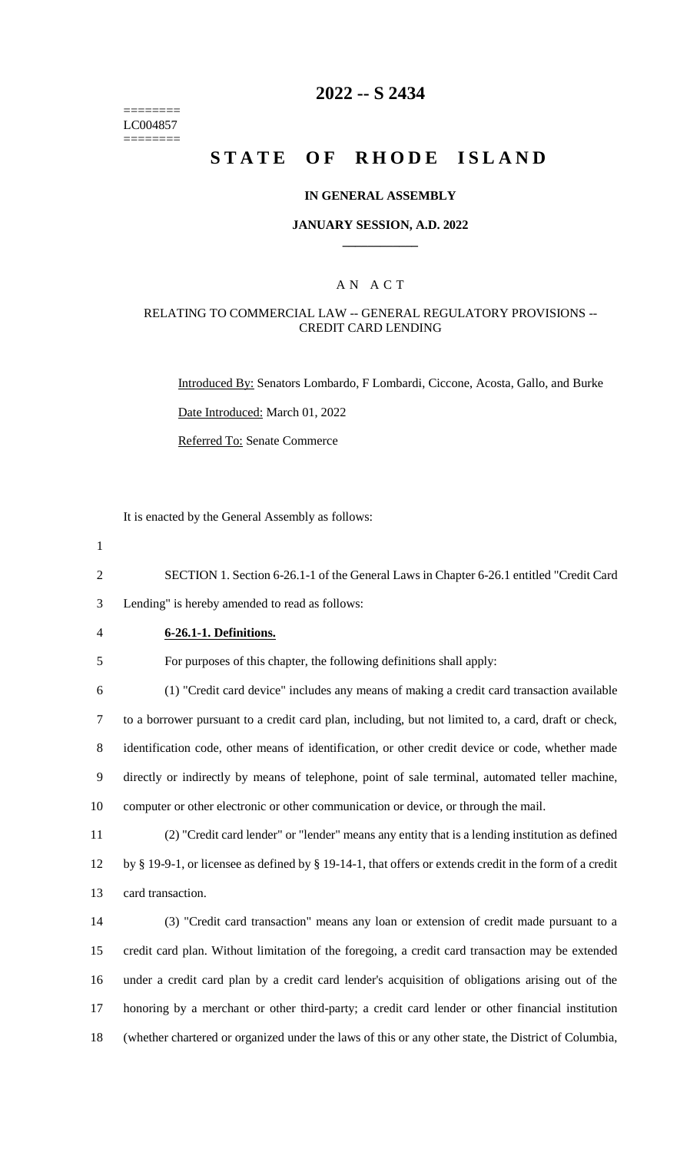======== LC004857 ========

# **2022 -- S 2434**

# **STATE OF RHODE ISLAND**

### **IN GENERAL ASSEMBLY**

### **JANUARY SESSION, A.D. 2022 \_\_\_\_\_\_\_\_\_\_\_\_**

## A N A C T

## RELATING TO COMMERCIAL LAW -- GENERAL REGULATORY PROVISIONS -- CREDIT CARD LENDING

Introduced By: Senators Lombardo, F Lombardi, Ciccone, Acosta, Gallo, and Burke

Date Introduced: March 01, 2022

Referred To: Senate Commerce

It is enacted by the General Assembly as follows:

1

2 SECTION 1. Section 6-26.1-1 of the General Laws in Chapter 6-26.1 entitled "Credit Card

3 Lending" is hereby amended to read as follows:

## 4 **6-26.1-1. Definitions.**

5 For purposes of this chapter, the following definitions shall apply:

 (1) "Credit card device" includes any means of making a credit card transaction available to a borrower pursuant to a credit card plan, including, but not limited to, a card, draft or check, identification code, other means of identification, or other credit device or code, whether made directly or indirectly by means of telephone, point of sale terminal, automated teller machine, computer or other electronic or other communication or device, or through the mail.

11 (2) "Credit card lender" or "lender" means any entity that is a lending institution as defined

12 by § 19-9-1, or licensee as defined by § 19-14-1, that offers or extends credit in the form of a credit 13 card transaction.

 (3) "Credit card transaction" means any loan or extension of credit made pursuant to a credit card plan. Without limitation of the foregoing, a credit card transaction may be extended under a credit card plan by a credit card lender's acquisition of obligations arising out of the honoring by a merchant or other third-party; a credit card lender or other financial institution (whether chartered or organized under the laws of this or any other state, the District of Columbia,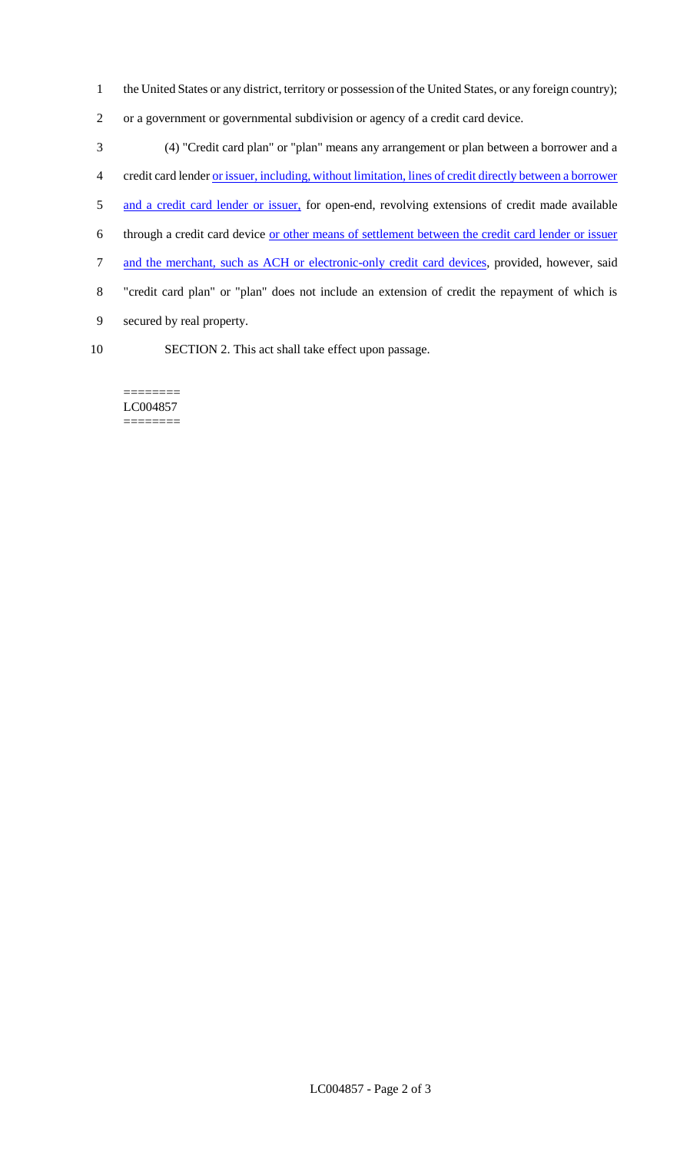- 1 the United States or any district, territory or possession of the United States, or any foreign country);
- 2 or a government or governmental subdivision or agency of a credit card device.

 (4) "Credit card plan" or "plan" means any arrangement or plan between a borrower and a credit card lender or issuer, including, without limitation, lines of credit directly between a borrower 5 and a credit card lender or issuer, for open-end, revolving extensions of credit made available through a credit card device or other means of settlement between the credit card lender or issuer 7 and the merchant, such as ACH or electronic-only credit card devices, provided, however, said "credit card plan" or "plan" does not include an extension of credit the repayment of which is secured by real property. SECTION 2. This act shall take effect upon passage.

======== LC004857 ========